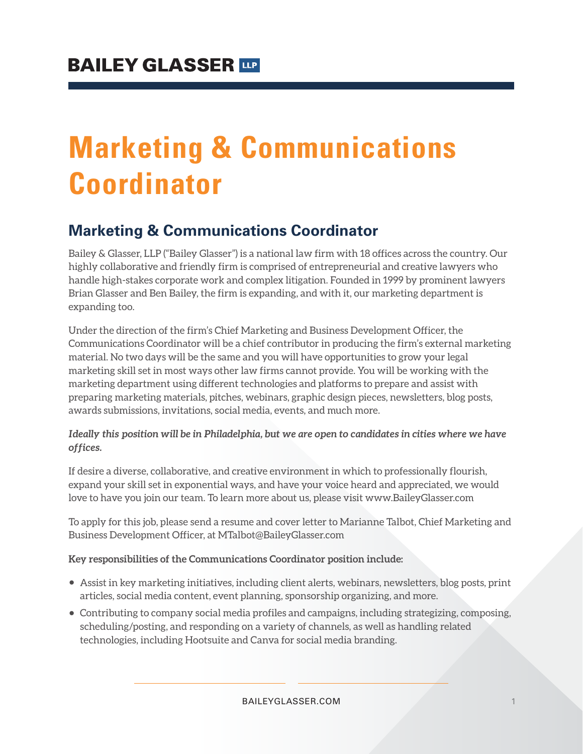# **Marketing & Communications Coordinator**

### **Marketing & Communications Coordinator**

Bailey & Glasser, LLP ("Bailey Glasser") is a national law firm with 18 offices across the country. Our highly collaborative and friendly firm is comprised of entrepreneurial and creative lawyers who handle high-stakes corporate work and complex litigation. Founded in 1999 by prominent lawyers Brian Glasser and Ben Bailey, the firm is expanding, and with it, our marketing department is expanding too.

Under the direction of the firm's Chief Marketing and Business Development Officer, the Communications Coordinator will be a chief contributor in producing the firm's external marketing material. No two days will be the same and you will have opportunities to grow your legal marketing skill set in most ways other law firms cannot provide. You will be working with the marketing department using different technologies and platforms to prepare and assist with preparing marketing materials, pitches, webinars, graphic design pieces, newsletters, blog posts, awards submissions, invitations, social media, events, and much more.

#### **Ideally this position will be in Philadelphia, but we are open to candidates in cities where we have offices.**

If desire a diverse, collaborative, and creative environment in which to professionally flourish, expand your skill set in exponential ways, and have your voice heard and appreciated, we would love to have you join our team. To learn more about us, please visit www.BaileyGlasser.com

To apply for this job, please send a resume and cover letter to Marianne Talbot, Chief Marketing and Business Development Officer, at MTalbot@BaileyGlasser.com

#### **Key responsibilities of the Communications Coordinator position include:**

- Assist in key marketing initiatives, including client alerts, webinars, newsletters, blog posts, print articles, social media content, event planning, sponsorship organizing, and more.
- Contributing to company social media profiles and campaigns, including strategizing, composing, scheduling/posting, and responding on a variety of channels, as well as handling related technologies, including Hootsuite and Canva for social media branding.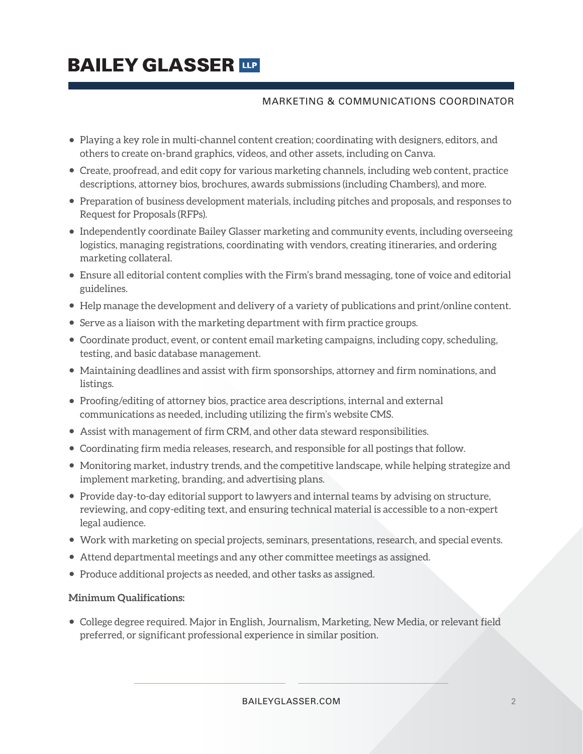## **BAILEY GLASSER TIP**

#### MARKETING & COMMUNICATIONS COORDINATOR

- Playing a key role in multi-channel content creation; coordinating with designers, editors, and others to create on-brand graphics, videos, and other assets, including on Canva.
- Create, proofread, and edit copy for various marketing channels, including web content, practice descriptions, attorney bios, brochures, awards submissions (including Chambers), and more.
- Preparation of business development materials, including pitches and proposals, and responses to Request for Proposals (RFPs).
- Independently coordinate Bailey Glasser marketing and community events, including overseeing logistics, managing registrations, coordinating with vendors, creating itineraries, and ordering marketing collateral.
- Ensure all editorial content complies with the Firm's brand messaging, tone of voice and editorial guidelines.
- Help manage the development and delivery of a variety of publications and print/online content.
- Serve as a liaison with the marketing department with firm practice groups.
- Coordinate product, event, or content email marketing campaigns, including copy, scheduling, testing, and basic database management.
- Maintaining deadlines and assist with firm sponsorships, attorney and firm nominations, and listings.
- Proofing/editing of attorney bios, practice area descriptions, internal and external communications as needed, including utilizing the firm's website CMS.
- Assist with management of firm CRM, and other data steward responsibilities.
- Coordinating firm media releases, research, and responsible for all postings that follow.
- Monitoring market, industry trends, and the competitive landscape, while helping strategize and implement marketing, branding, and advertising plans.
- Provide day-to-day editorial support to lawyers and internal teams by advising on structure, reviewing, and copy-editing text, and ensuring technical material is accessible to a non-expert legal audience.
- Work with marketing on special projects, seminars, presentations, research, and special events.
- Attend departmental meetings and any other committee meetings as assigned.
- Produce additional projects as needed, and other tasks as assigned.

#### **Minimum Qualifications:**

● College degree required. Major in English, Journalism, Marketing, New Media, or relevant field preferred, or significant professional experience in similar position.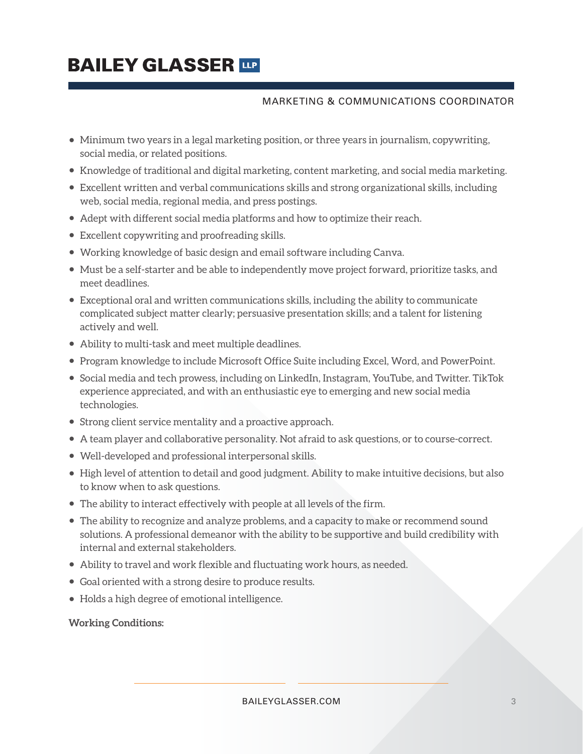## **BAILEY GLASSER TIP**

#### MARKETING & COMMUNICATIONS COORDINATOR

- Minimum two years in a legal marketing position, or three years in journalism, copywriting, social media, or related positions.
- Knowledge of traditional and digital marketing, content marketing, and social media marketing.
- Excellent written and verbal communications skills and strong organizational skills, including web, social media, regional media, and press postings.
- Adept with different social media platforms and how to optimize their reach.
- Excellent copywriting and proofreading skills.
- Working knowledge of basic design and email software including Canva.
- Must be a self-starter and be able to independently move project forward, prioritize tasks, and meet deadlines.
- Exceptional oral and written communications skills, including the ability to communicate complicated subject matter clearly; persuasive presentation skills; and a talent for listening actively and well.
- Ability to multi-task and meet multiple deadlines.
- Program knowledge to include Microsoft Office Suite including Excel, Word, and PowerPoint.
- Social media and tech prowess, including on LinkedIn, Instagram, YouTube, and Twitter. TikTok experience appreciated, and with an enthusiastic eye to emerging and new social media technologies.
- Strong client service mentality and a proactive approach.
- A team player and collaborative personality. Not afraid to ask questions, or to course-correct.
- Well-developed and professional interpersonal skills.
- High level of attention to detail and good judgment. Ability to make intuitive decisions, but also to know when to ask questions.
- The ability to interact effectively with people at all levels of the firm.
- The ability to recognize and analyze problems, and a capacity to make or recommend sound solutions. A professional demeanor with the ability to be supportive and build credibility with internal and external stakeholders.
- Ability to travel and work flexible and fluctuating work hours, as needed.
- Goal oriented with a strong desire to produce results.
- Holds a high degree of emotional intelligence.

**Working Conditions:**